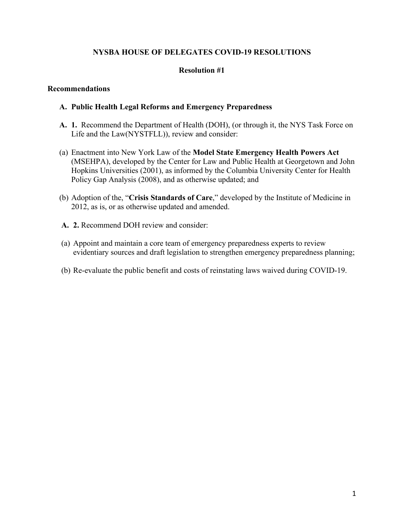## **NYSBA HOUSE OF DELEGATES COVID-19 RESOLUTIONS**

#### **Resolution #1**

#### **Recommendations**

#### **A. Public Health Legal Reforms and Emergency Preparedness**

- **A. 1.** Recommend the Department of Health (DOH), (or through it, the NYS Task Force on Life and the Law(NYSTFLL)), review and consider:
- (a) Enactment into New York Law of the **Model State Emergency Health Powers Act**  (MSEHPA), developed by the Center for Law and Public Health at Georgetown and John Hopkins Universities (2001), as informed by the Columbia University Center for Health Policy Gap Analysis (2008), and as otherwise updated; and
- (b) Adoption of the, "**Crisis Standards of Care**," developed by the Institute of Medicine in 2012, as is, or as otherwise updated and amended.
- **A. 2.** Recommend DOH review and consider:
- (a) Appoint and maintain a core team of emergency preparedness experts to review evidentiary sources and draft legislation to strengthen emergency preparedness planning;
- (b) Re-evaluate the public benefit and costs of reinstating laws waived during COVID-19.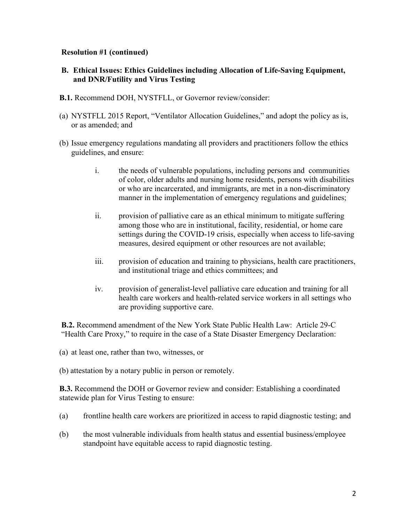## **Resolution #1 (continued)**

- **B. Ethical Issues: Ethics Guidelines including Allocation of Life-Saving Equipment, and DNR/Futility and Virus Testing**
- **B.1.** Recommend DOH, NYSTFLL, or Governor review/consider:
- (a) NYSTFLL 2015 Report, "Ventilator Allocation Guidelines," and adopt the policy as is, or as amended; and
- (b) Issue emergency regulations mandating all providers and practitioners follow the ethics guidelines, and ensure:
	- i. the needs of vulnerable populations, including persons and communities of color, older adults and nursing home residents, persons with disabilities or who are incarcerated, and immigrants, are met in a non-discriminatory manner in the implementation of emergency regulations and guidelines;
	- ii. provision of palliative care as an ethical minimum to mitigate suffering among those who are in institutional, facility, residential, or home care settings during the COVID-19 crisis, especially when access to life-saving measures, desired equipment or other resources are not available;
	- iii. provision of education and training to physicians, health care practitioners, and institutional triage and ethics committees; and
	- iv. provision of generalist-level palliative care education and training for all health care workers and health-related service workers in all settings who are providing supportive care.

 **B.2.** Recommend amendment of the New York State Public Health Law: Article 29-C "Health Care Proxy," to require in the case of a State Disaster Emergency Declaration:

(a) at least one, rather than two, witnesses, or

(b) attestation by a notary public in person or remotely.

**B.3.** Recommend the DOH or Governor review and consider: Establishing a coordinated statewide plan for Virus Testing to ensure:

- (a) frontline health care workers are prioritized in access to rapid diagnostic testing; and
- (b) the most vulnerable individuals from health status and essential business/employee standpoint have equitable access to rapid diagnostic testing.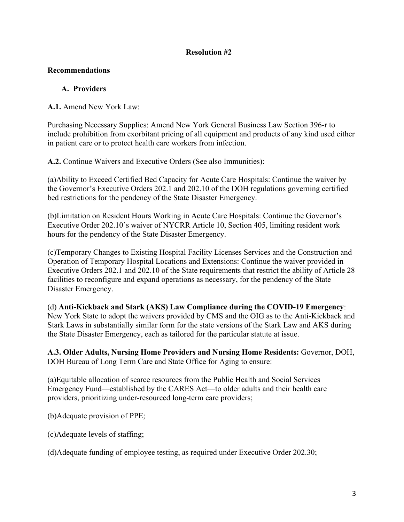## **Resolution #2**

## **Recommendations**

## **A. Providers**

**A.1.** Amend New York Law:

Purchasing Necessary Supplies: Amend New York General Business Law Section 396-r to include prohibition from exorbitant pricing of all equipment and products of any kind used either in patient care or to protect health care workers from infection.

**A.2.** Continue Waivers and Executive Orders (See also Immunities):

(a)Ability to Exceed Certified Bed Capacity for Acute Care Hospitals: Continue the waiver by the Governor's Executive Orders 202.1 and 202.10 of the DOH regulations governing certified bed restrictions for the pendency of the State Disaster Emergency.

(b)Limitation on Resident Hours Working in Acute Care Hospitals: Continue the Governor's Executive Order 202.10's waiver of NYCRR Article 10, Section 405, limiting resident work hours for the pendency of the State Disaster Emergency.

(c)Temporary Changes to Existing Hospital Facility Licenses Services and the Construction and Operation of Temporary Hospital Locations and Extensions: Continue the waiver provided in Executive Orders 202.1 and 202.10 of the State requirements that restrict the ability of Article 28 facilities to reconfigure and expand operations as necessary, for the pendency of the State Disaster Emergency.

(d) **Anti-Kickback and Stark (AKS) Law Compliance during the COVID-19 Emergency**: New York State to adopt the waivers provided by CMS and the OIG as to the Anti-Kickback and Stark Laws in substantially similar form for the state versions of the Stark Law and AKS during the State Disaster Emergency, each as tailored for the particular statute at issue.

**A.3. Older Adults, Nursing Home Providers and Nursing Home Residents:** Governor, DOH, DOH Bureau of Long Term Care and State Office for Aging to ensure:

(a)Equitable allocation of scarce resources from the Public Health and Social Services Emergency Fund—established by the CARES Act—to older adults and their health care providers, prioritizing under-resourced long-term care providers;

(b)Adequate provision of PPE;

(c)Adequate levels of staffing;

(d)Adequate funding of employee testing, as required under Executive Order 202.30;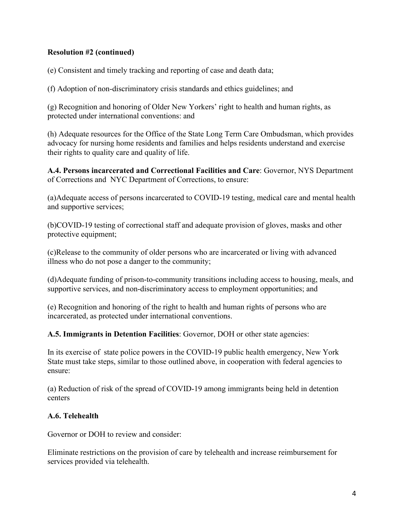## **Resolution #2 (continued)**

(e) Consistent and timely tracking and reporting of case and death data;

(f) Adoption of non-discriminatory crisis standards and ethics guidelines; and

(g) Recognition and honoring of Older New Yorkers' right to health and human rights, as protected under international conventions: and

(h) Adequate resources for the Office of the State Long Term Care Ombudsman, which provides advocacy for nursing home residents and families and helps residents understand and exercise their rights to quality care and quality of life.

**A.4. Persons incarcerated and Correctional Facilities and Care**: Governor, NYS Department of Corrections and NYC Department of Corrections, to ensure:

(a)Adequate access of persons incarcerated to COVID-19 testing, medical care and mental health and supportive services;

(b)COVID-19 testing of correctional staff and adequate provision of gloves, masks and other protective equipment;

(c)Release to the community of older persons who are incarcerated or living with advanced illness who do not pose a danger to the community;

(d)Adequate funding of prison-to-community transitions including access to housing, meals, and supportive services, and non-discriminatory access to employment opportunities; and

(e) Recognition and honoring of the right to health and human rights of persons who are incarcerated, as protected under international conventions.

**A.5. Immigrants in Detention Facilities**: Governor, DOH or other state agencies:

In its exercise of state police powers in the COVID-19 public health emergency, New York State must take steps, similar to those outlined above, in cooperation with federal agencies to ensure:

(a) Reduction of risk of the spread of COVID-19 among immigrants being held in detention centers

## **A.6. Telehealth**

Governor or DOH to review and consider:

Eliminate restrictions on the provision of care by telehealth and increase reimbursement for services provided via telehealth.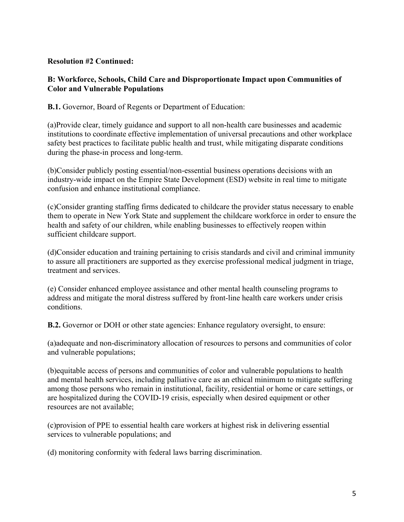## **Resolution #2 Continued:**

## **B: Workforce, Schools, Child Care and Disproportionate Impact upon Communities of Color and Vulnerable Populations**

**B.1.** Governor, Board of Regents or Department of Education:

(a)Provide clear, timely guidance and support to all non-health care businesses and academic institutions to coordinate effective implementation of universal precautions and other workplace safety best practices to facilitate public health and trust, while mitigating disparate conditions during the phase-in process and long-term.

(b)Consider publicly posting essential/non-essential business operations decisions with an industry-wide impact on the Empire State Development (ESD) website in real time to mitigate confusion and enhance institutional compliance.

(c)Consider granting staffing firms dedicated to childcare the provider status necessary to enable them to operate in New York State and supplement the childcare workforce in order to ensure the health and safety of our children, while enabling businesses to effectively reopen within sufficient childcare support.

(d)Consider education and training pertaining to crisis standards and civil and criminal immunity to assure all practitioners are supported as they exercise professional medical judgment in triage, treatment and services.

(e) Consider enhanced employee assistance and other mental health counseling programs to address and mitigate the moral distress suffered by front-line health care workers under crisis conditions.

**B.2.** Governor or DOH or other state agencies: Enhance regulatory oversight, to ensure:

(a)adequate and non-discriminatory allocation of resources to persons and communities of color and vulnerable populations;

(b)equitable access of persons and communities of color and vulnerable populations to health and mental health services, including palliative care as an ethical minimum to mitigate suffering among those persons who remain in institutional, facility, residential or home or care settings, or are hospitalized during the COVID-19 crisis, especially when desired equipment or other resources are not available;

(c)provision of PPE to essential health care workers at highest risk in delivering essential services to vulnerable populations; and

(d) monitoring conformity with federal laws barring discrimination.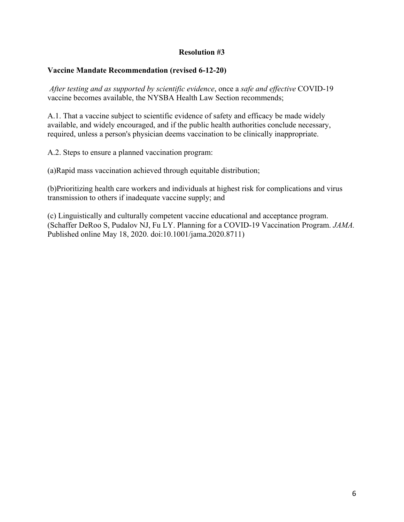### **Resolution #3**

#### **Vaccine Mandate Recommendation (revised 6-12-20)**

*After testing and as supported by scientific evidence*, once a *safe and effective* COVID-19 vaccine becomes available, the NYSBA Health Law Section recommends;

A.1. That a vaccine subject to scientific evidence of safety and efficacy be made widely available, and widely encouraged, and if the public health authorities conclude necessary, required, unless a person's physician deems vaccination to be clinically inappropriate.

A.2. Steps to ensure a planned vaccination program:

(a)Rapid mass vaccination achieved through equitable distribution;

(b)Prioritizing health care workers and individuals at highest risk for complications and virus transmission to others if inadequate vaccine supply; and

(c) Linguistically and culturally competent vaccine educational and acceptance program. (Schaffer DeRoo S, Pudalov NJ, Fu LY. Planning for a COVID-19 Vaccination Program. *JAMA.* Published online May 18, 2020. doi:10.1001/jama.2020.8711)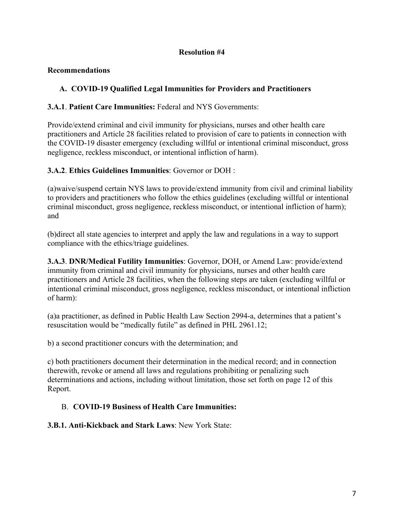## **Resolution #4**

## **Recommendations**

# **A. COVID-19 Qualified Legal Immunities for Providers and Practitioners**

## **3.A.1**. **Patient Care Immunities:** Federal and NYS Governments:

Provide/extend criminal and civil immunity for physicians, nurses and other health care practitioners and Article 28 facilities related to provision of care to patients in connection with the COVID-19 disaster emergency (excluding willful or intentional criminal misconduct, gross negligence, reckless misconduct, or intentional infliction of harm).

# **3.A.2**. **Ethics Guidelines Immunities**: Governor or DOH :

(a)waive/suspend certain NYS laws to provide/extend immunity from civil and criminal liability to providers and practitioners who follow the ethics guidelines (excluding willful or intentional criminal misconduct, gross negligence, reckless misconduct, or intentional infliction of harm); and

(b)direct all state agencies to interpret and apply the law and regulations in a way to support compliance with the ethics/triage guidelines.

**3.A.3**. **DNR/Medical Futility Immunities**: Governor, DOH, or Amend Law: provide/extend immunity from criminal and civil immunity for physicians, nurses and other health care practitioners and Article 28 facilities, when the following steps are taken (excluding willful or intentional criminal misconduct, gross negligence, reckless misconduct, or intentional infliction of harm):

(a)a practitioner, as defined in Public Health Law Section 2994-a, determines that a patient's resuscitation would be "medically futile" as defined in PHL 2961.12;

b) a second practitioner concurs with the determination; and

c) both practitioners document their determination in the medical record; and in connection therewith, revoke or amend all laws and regulations prohibiting or penalizing such determinations and actions, including without limitation, those set forth on page 12 of this Report.

# B. **COVID-19 Business of Health Care Immunities:**

**3.B.1. Anti-Kickback and Stark Laws**: New York State: